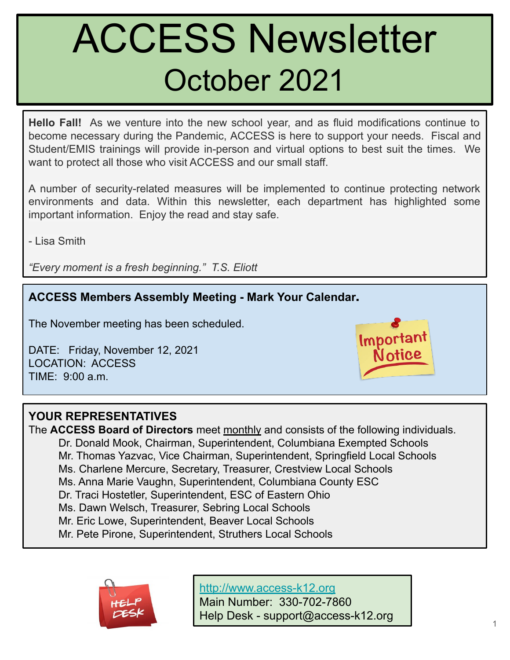# ACCESS Newsletter October 2021

**Hello Fall!** As we venture into the new school year, and as fluid modifications continue to become necessary during the Pandemic, ACCESS is here to support your needs. Fiscal and Student/EMIS trainings will provide in-person and virtual options to best suit the times. We want to protect all those who visit ACCESS and our small staff.

A number of security-related measures will be implemented to continue protecting network environments and data. Within this newsletter, each department has highlighted some important information. Enjoy the read and stay safe.

- Lisa Smith

*"Every moment is a fresh beginning." T.S. Eliott*

## **ACCESS Members Assembly Meeting - Mark Your Calendar.**

The November meeting has been scheduled.

DATE: Friday, November 12, 2021 LOCATION: ACCESS TIME: 9:00 a.m.



#### l, **YOUR REPRESENTATIVES**

The **ACCESS Board of Directors** meet monthly and consists of the following individuals. Dr. Donald Mook, Chairman, Superintendent, Columbiana Exempted Schools Mr. Thomas Yazvac, Vice Chairman, Superintendent, Springfield Local Schools Ms. Charlene Mercure, Secretary, Treasurer, Crestview Local Schools Ms. Anna Marie Vaughn, Superintendent, Columbiana County ESC Dr. Traci Hostetler, Superintendent, ESC of Eastern Ohio Ms. Dawn Welsch, Treasurer, Sebring Local Schools Mr. Eric Lowe, Superintendent, Beaver Local Schools Mr. Pete Pirone, Superintendent, Struthers Local Schools



<http://www.access-k12.org>

Main Number: 330-702-7860 Help Desk - support@access-k12.org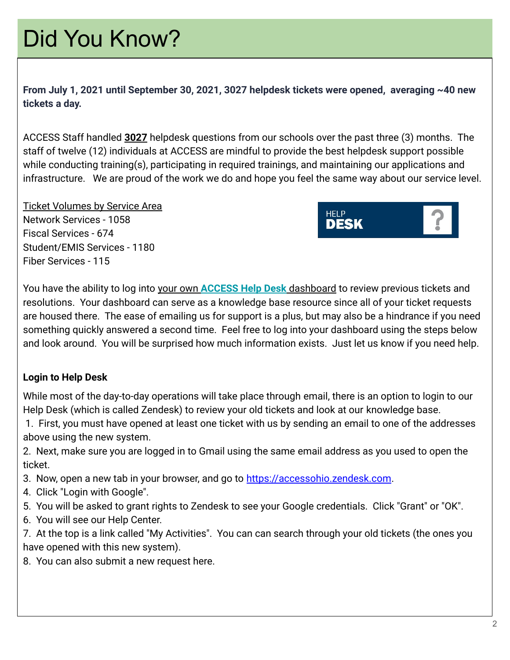## Did You Know?

**From July 1, 2021 until September 30, 2021, 3027 helpdesk tickets were opened, averaging ~40 new tickets a day.** 

ACCESS Staff handled **3027** helpdesk questions from our schools over the past three (3) months. The staff of twelve (12) individuals at ACCESS are mindful to provide the best helpdesk support possible while conducting training(s), participating in required trainings, and maintaining our applications and infrastructure. We are proud of the work we do and hope you feel the same way about our service level.

Ticket Volumes by Service Area Network Services - 1058 Fiscal Services - 674 Student/EMIS Services - 1180 Fiber Services - 115



You have the ability to log into your own **[ACCESS Help Desk](https://accessohio.zendesk.com)** dashboard to review previous tickets and resolutions. Your dashboard can serve as a knowledge base resource since all of your ticket requests are housed there. The ease of emailing us for support is a plus, but may also be a hindrance if you need something quickly answered a second time. Feel free to log into your dashboard using the steps below and look around. You will be surprised how much information exists. Just let us know if you need help.

### **Login to Help Desk**

While most of the day-to-day operations will take place through email, there is an option to login to our Help Desk (which is called Zendesk) to review your old tickets and look at our knowledge base.

 1. First, you must have opened at least one ticket with us by sending an email to one of the addresses above using the new system.

2. Next, make sure you are logged in to Gmail using the same email address as you used to open the ticket.

- 3. Now, open a new tab in your browser, and go to [https://accessohio.zendesk.com](https://accessohio.zendesk.com/).
- 4. Click "Login with Google".
- 5. You will be asked to grant rights to Zendesk to see your Google credentials. Click "Grant" or "OK".
- 6. You will see our Help Center.

7. At the top is a link called "My Activities". You can can search through your old tickets (the ones you have opened with this new system).

8. You can also submit a new request here.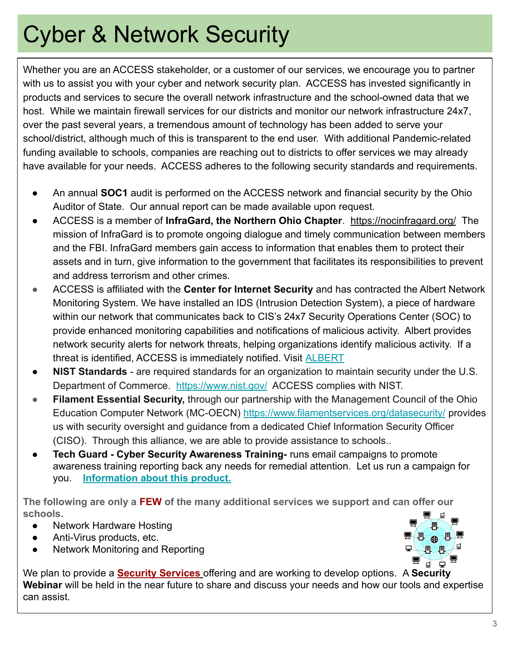## Cyber & Network Security

Whether you are an ACCESS stakeholder, or a customer of our services, we encourage you to partner with us to assist you with your cyber and network security plan. ACCESS has invested significantly in products and services to secure the overall network infrastructure and the school-owned data that we host. While we maintain firewall services for our districts and monitor our network infrastructure 24x7, over the past several years, a tremendous amount of technology has been added to serve your school/district, although much of this is transparent to the end user. With additional Pandemic-related funding available to schools, companies are reaching out to districts to offer services we may already have available for your needs. ACCESS adheres to the following security standards and requirements.

- An annual **SOC1** audit is performed on the ACCESS network and financial security by the Ohio Auditor of State. Our annual report can be made available upon request.
- ACCESS is a member of **InfraGard, the Northern Ohio Chapter**. <https://nocinfragard.org/>The mission of InfraGard is to promote ongoing dialogue and timely communication between members and the FBI. InfraGard members gain access to information that enables them to protect their assets and in turn, give information to the government that facilitates its responsibilities to prevent and address terrorism and other crimes.
- **ACCESS is affiliated with the Center for Internet Security and has contracted the Albert Network** Monitoring System. We have installed an IDS (Intrusion Detection System), a piece of hardware within our network that communicates back to CIS's 24x7 Security Operations Center (SOC) to provide enhanced monitoring capabilities and notifications of malicious activity. Albert provides network security alerts for network threats, helping organizations identify malicious activity. If a threat is identified, ACCESS is immediately notified. Visit [ALBERT](https://www.cisecurity.org/blog/albert-a-smart-solution-for-network-monitoring/)
- **NIST Standards** are required standards for an organization to maintain security under the U.S. Department of Commerce. <https://www.nist.gov/> ACCESS complies with NIST.
- **Filament Essential Security,** through our partnership with the Management Council of the Ohio Education Computer Network (MC-OECN)<https://www.filamentservices.org/datasecurity/> provides us with security oversight and guidance from a dedicated Chief Information Security Officer (CISO). Through this alliance, we are able to provide assistance to schools..
- **● Tech Guard Cyber Security Awareness Training-** runs email campaigns to promote awareness training reporting back any needs for remedial attention. Let us run a campaign for you. **[Information about this product.](https://www.techguard.com/s-h-i-e-l-d-cybersecurity-awareness-training/)**

**The following are only a FEW of the many additional services we support and can offer our schools.**

- Network Hardware Hosting
- Anti-Virus products, etc.
- Network Monitoring and Reporting



We plan to provide a **Security Services** offering and are working to develop options. A **Security Webinar** will be held in the near future to share and discuss your needs and how our tools and expertise can assist.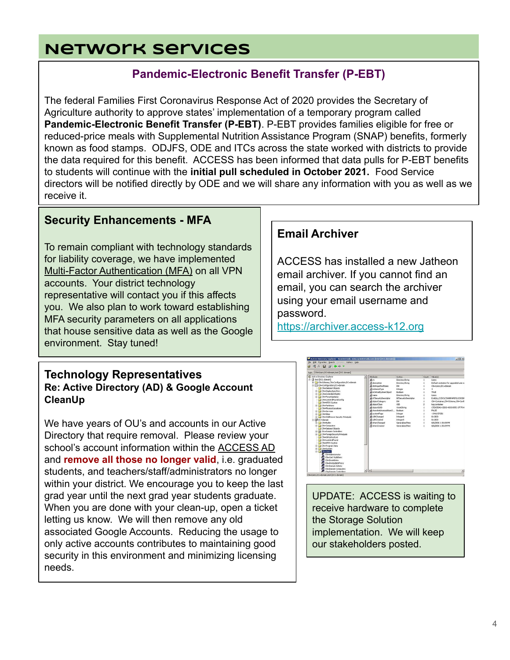## **Network Services**

## **Pandemic-Electronic Benefit Transfer (P-EBT)**

The federal Families First Coronavirus Response Act of 2020 provides the Secretary of Agriculture authority to approve states' implementation of a temporary program called **Pandemic-Electronic Benefit Transfer (P-EBT)**. P-EBT provides families eligible for free or reduced-price meals with Supplemental Nutrition Assistance Program (SNAP) benefits, formerly known as food stamps. ODJFS, ODE and ITCs across the state worked with districts to provide the data required for this benefit. ACCESS has been informed that data pulls for P-EBT benefits to students will continue with the **initial pull scheduled in October 2021.** Food Service directors will be notified directly by ODE and we will share any information with you as well as we receive it.

## **Security Enhancements - MFA**

To remain compliant with technology standards for liability coverage, we have implemented Multi-Factor Authentication (MFA) on all VPN accounts. Your district technology representative will contact you if this affects you. We also plan to work toward establishing MFA security parameters on all applications that house sensitive data as well as the Google environment. Stay tuned!

#### **Technology Representatives Re: Active Directory (AD) & Google Account CleanUp**

We have years of OU's and accounts in our Active Directory that require removal. Please review your school's account information within the ACCESS AD and **remove all those no longer valid**, i.e. graduated students, and teachers/staff/administrators no longer within your district. We encourage you to keep the last grad year until the next grad year students graduate. When you are done with your clean-up, open a ticket letting us know. We will then remove any old associated Google Accounts. Reducing the usage to only active accounts contributes to maintaining good security in this environment and minimizing licensing needs.

### **Email Archiver**

ACCESS has installed a new Jatheon email archiver. If you cannot find an email, you can search the archiver using your email username and password.

<https://archiver.access-k12.org>



UPDATE: ACCESS is waiting to receive hardware to complete the Storage Solution implementation. We will keep our stakeholders posted.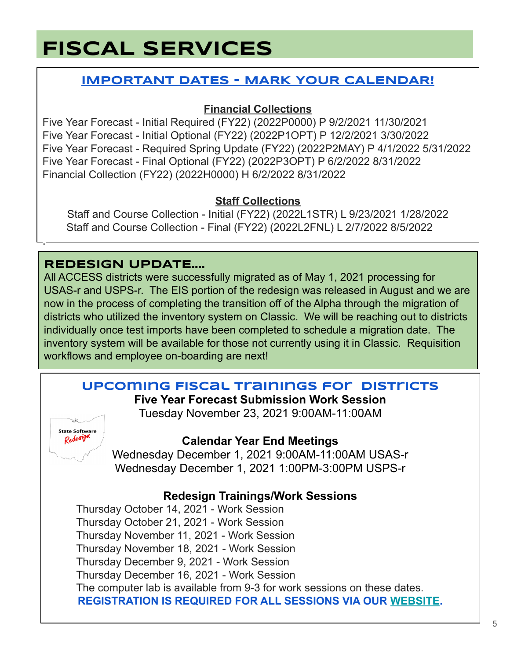## **FISCAL SERVICES**

## **IMPORTANT DATES - MARK YOUR CALENDAR!**

## **Financial Collections**

Five Year Forecast - Initial Required (FY22) (2022P0000) P 9/2/2021 11/30/2021 Five Year Forecast - Initial Optional (FY22) (2022P1OPT) P 12/2/2021 3/30/2022 Five Year Forecast - Required Spring Update (FY22) (2022P2MAY) P 4/1/2022 5/31/2022 Five Year Forecast - Final Optional (FY22) (2022P3OPT) P 6/2/2022 8/31/2022 Financial Collection (FY22) (2022H0000) H 6/2/2022 8/31/2022

### **Staff Collections**

Staff and Course Collection - Initial (FY22) (2022L1STR) L 9/23/2021 1/28/2022 Staff and Course Collection - Final (FY22) (2022L2FNL) L 2/7/2022 8/5/2022

## **REDESIGN UPDATE....**

All ACCESS districts were successfully migrated as of May 1, 2021 processing for USAS-r and USPS-r. The EIS portion of the redesign was released in August and we are now in the process of completing the transition off of the Alpha through the migration of districts who utilized the inventory system on Classic. We will be reaching out to districts individually once test imports have been completed to schedule a migration date. The inventory system will be available for those not currently using it in Classic. Requisition workflows and employee on-boarding are next!

## **Upcoming Fiscal Trainings for Districts**

**Five Year Forecast Submission Work Session**

Tuesday November 23, 2021 9:00AM-11:00AM



.

## **Calendar Year End Meetings**

Wednesday December 1, 2021 9:00AM-11:00AM USAS-r Wednesday December 1, 2021 1:00PM-3:00PM USPS-r

## **Redesign Trainings/Work Sessions**

Thursday October 14, 2021 - Work Session Thursday October 21, 2021 - Work Session Thursday November 11, 2021 - Work Session Thursday November 18, 2021 - Work Session Thursday December 9, 2021 - Work Session Thursday December 16, 2021 - Work Session The computer lab is available from 9-3 for work sessions on these dates. **REGISTRATION IS REQUIRED FOR ALL SESSIONS VIA OUR [WEBSITE](http://www.access-k12.org).**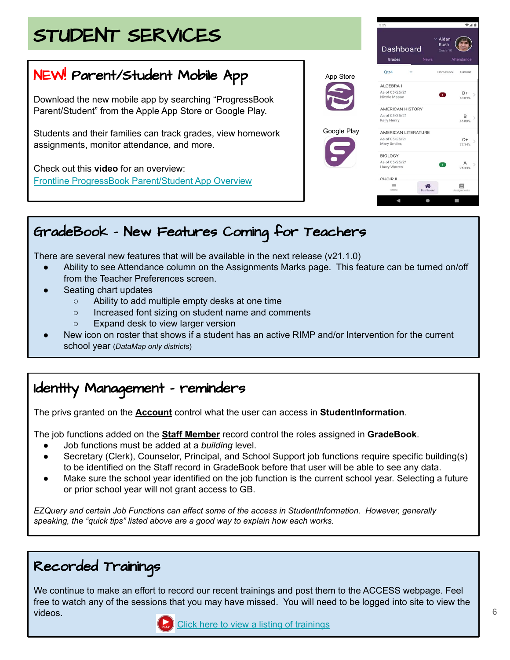## STUDENT SERVICES

## NEW! Parent/Student Mobile App

Download the new mobile app by searching "ProgressBook Parent/Student" from the Apple App Store or Google Play.

Students and their families can track grades, view homework assignments, monitor attendance, and more.

Check out this **video** for an overview: [Frontline ProgressBook Parent/Student App Overview](https://www.youtube.com/watch?v=i8WtHQKAe4w)



## GradeBook - New Features Coming for Teachers

There are several new features that will be available in the next release (v21.1.0)

- Ability to see Attendance column on the Assignments Marks page. This feature can be turned on/off from the Teacher Preferences screen.
- Seating chart updates
	- Ability to add multiple empty desks at one time
	- Increased font sizing on student name and comments
	- Expand desk to view larger version
- New icon on roster that shows if a student has an active RIMP and/or Intervention for the current school year (*DataMap only districts*)

## Identity Management - reminders

The privs granted on the **Account** control what the user can access in **StudentInformation**.

The job functions added on the **Staff Member** record control the roles assigned in **GradeBook**.

- Job functions must be added at a *building* level.
- Secretary (Clerk), Counselor, Principal, and School Support job functions require specific building(s) to be identified on the Staff record in GradeBook before that user will be able to see any data.
- Make sure the school year identified on the job function is the current school year. Selecting a future or prior school year will not grant access to GB.

*EZQuery and certain Job Functions can affect some of the access in StudentInformation. However, generally speaking, the "quick tips" listed above are a good way to explain how each works.* 

## Recorded Trainings

We continue to make an effort to record our recent trainings and post them to the ACCESS webpage. Feel free to watch any of the sessions that you may have missed. You will need to be logged into site to view the videos.

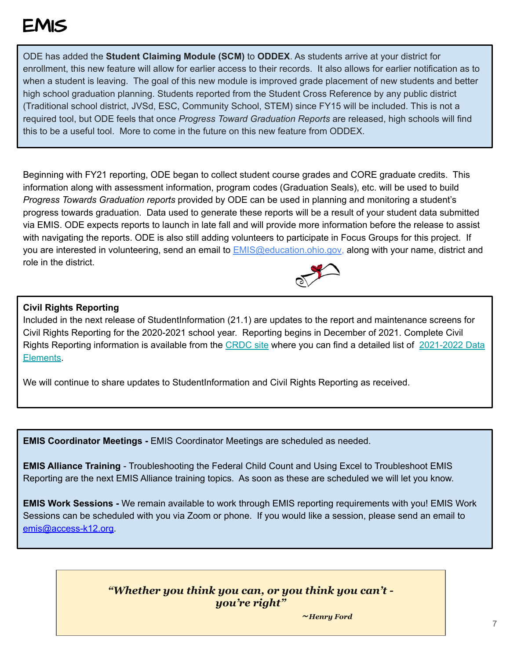## EMIS

ODE has added the **Student Claiming Module (SCM)** to **ODDEX**. As students arrive at your district for enrollment, this new feature will allow for earlier access to their records. It also allows for earlier notification as to when a student is leaving. The goal of this new module is improved grade placement of new students and better high school graduation planning. Students reported from the Student Cross Reference by any public district (Traditional school district, JVSd, ESC, Community School, STEM) since FY15 will be included. This is not a required tool, but ODE feels that once *Progress Toward Graduation Reports* are released, high schools will find this to be a useful tool. More to come in the future on this new feature from ODDEX.

Beginning with FY21 reporting, ODE began to collect student course grades and CORE graduate credits. This information along with assessment information, program codes (Graduation Seals), etc. will be used to build *Progress Towards Graduation reports* provided by ODE can be used in planning and monitoring a student's progress towards graduation. Data used to generate these reports will be a result of your student data submitted via EMIS. ODE expects reports to launch in late fall and will provide more information before the release to assist with navigating the reports. ODE is also still adding volunteers to participate in Focus Groups for this project. If you are interested in volunteering, send an email to [EMIS@education.ohio.gov](mailto:EMIS@education.ohio.gov), along with your name, district and role in the district.



#### **Civil Rights Reporting**

Included in the next release of StudentInformation (21.1) are updates to the report and maintenance screens for Civil Rights Reporting for the 2020-2021 school year. Reporting begins in December of 2021. Complete Civil Rights Reporting information is available from the [CRDC site](https://www2.ed.gov/about/offices/list/ocr/data.html) where you can find a detailed list of [2021-2022 Data](https://www2.ed.gov/about/offices/list/ocr/docs/2020-21-crdc-data-elements.pdf) [Elements](https://www2.ed.gov/about/offices/list/ocr/docs/2020-21-crdc-data-elements.pdf).

We will continue to share updates to StudentInformation and Civil Rights Reporting as received.

**EMIS Coordinator Meetings - EMIS Coordinator Meetings are scheduled as needed.** 

**EMIS Alliance Training** - Troubleshooting the Federal Child Count and Using Excel to Troubleshoot EMIS Reporting are the next EMIS Alliance training topics. As soon as these are scheduled we will let you know.

**EMIS Work Sessions -** We remain available to work through EMIS reporting requirements with you! EMIS Work Sessions can be scheduled with you via Zoom or phone. If you would like a session, please send an email to [emis@access-k12.org.](mailto:emis@access-k12.org)

#### *"Whether you think you can, or you think you can't you're right"*

*~Henry Ford*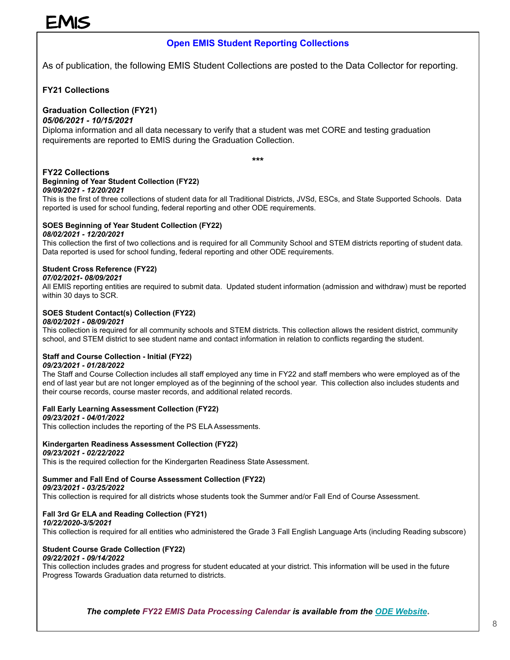## EMIS

#### **Open EMIS Student Reporting Collections**

As of publication, the following EMIS Student Collections are posted to the Data Collector for reporting.

#### **FY21 Collections**

#### **Graduation Collection (FY21)**

#### *05/06/2021 - 10/15/2021*

Diploma information and all data necessary to verify that a student was met CORE and testing graduation requirements are reported to EMIS during the Graduation Collection.

**\*\*\***

#### **FY22 Collections Beginning of Year Student Collection (FY22)**

#### *09/09/2021 - 12/20/2021*

This is the first of three collections of student data for all Traditional Districts, JVSd, ESCs, and State Supported Schools. Data reported is used for school funding, federal reporting and other ODE requirements.

#### **SOES Beginning of Year Student Collection (FY22)**

#### *08/02/2021 - 12/20/2021*

This collection the first of two collections and is required for all Community School and STEM districts reporting of student data. Data reported is used for school funding, federal reporting and other ODE requirements.

#### **Student Cross Reference (FY22)**

#### *07/02/2021- 08/09/2021*

All EMIS reporting entities are required to submit data. Updated student information (admission and withdraw) must be reported within 30 days to SCR.

#### **SOES Student Contact(s) Collection (FY22)**

#### *08/02/2021 - 08/09/2021*

This collection is required for all community schools and STEM districts. This collection allows the resident district, community school, and STEM district to see student name and contact information in relation to conflicts regarding the student.

#### **Staff and Course Collection - Initial (FY22)**

#### *09/23/2021 - 01/28/2022*

The Staff and Course Collection includes all staff employed any time in FY22 and staff members who were employed as of the end of last year but are not longer employed as of the beginning of the school year. This collection also includes students and their course records, course master records, and additional related records.

#### **Fall Early Learning Assessment Collection (FY22)**

#### *09/23/2021 - 04/01/2022*

This collection includes the reporting of the PS ELA Assessments.

#### **Kindergarten Readiness Assessment Collection (FY22)**

#### *09/23/2021 - 02/22/2022*

This is the required collection for the Kindergarten Readiness State Assessment.

#### **Summer and Fall End of Course Assessment Collection (FY22)**

#### *09/23/2021 - 03/25/2022*

This collection is required for all districts whose students took the Summer and/or Fall End of Course Assessment.

#### **Fall 3rd Gr ELA and Reading Collection (FY21)**

#### *10/22/2020-3/5/2021*

This collection is required for all entities who administered the Grade 3 Fall English Language Arts (including Reading subscore)

#### **Student Course Grade Collection (FY22)**

#### *09/22/2021 - 09/14/2022*

This collection includes grades and progress for student educated at your district. This information will be used in the future Progress Towards Graduation data returned to districts.

*The complete FY22 EMIS Data Processing Calendar is available from the [ODE Website](http://education.ohio.gov/getattachment/Topics/Data/EMIS/Reporting-Responsibilities/EMIS-Data-Collection-Calendars/Processing-Schedule-FY22-09_22_2021.pdf.aspx?lang=en-US)***.**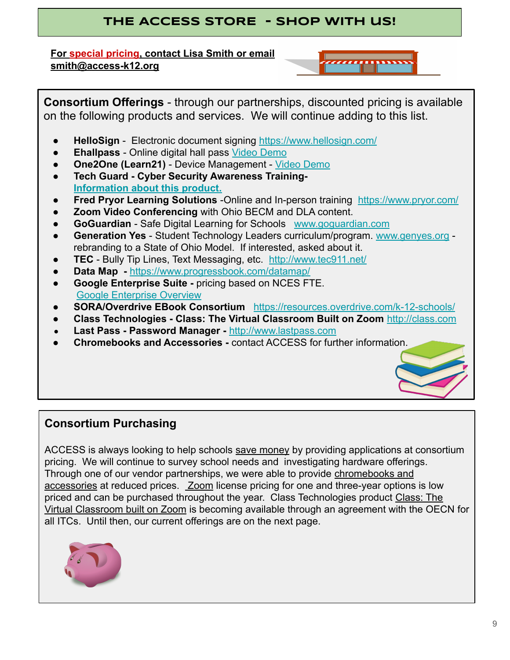## **THE ACCESS STORE - sHOP WITH us!**

**For special pricing, contact Lisa Smith or email smith@access-k12.org**

**Consortium Offerings** - through our partnerships, discounted pricing is available on the following products and services. We will continue adding to this list.

- **HelloSign**  Electronic document signing<https://www.hellosign.com/>
- **● Ehallpass**  Online digital hall pass [Video Demo](https://www.youtube.com/watch?v=S7_VXSKvF70&feature=youtu.be)
- **● One2One (Learn21)** Device Management [Video Demo](https://youtu.be/MxIFAm05hok)
- **● Tech Guard Cyber Security Awareness Training-[Information about this product.](https://www.techguard.com/s-h-i-e-l-d-cybersecurity-awareness-training/)**
- **Fred Pryor Learning Solutions** -Online and In-person training <https://www.pryor.com/>
- **Zoom Video Conferencing** with Ohio BECM and DLA content.
- **GoGuardian**  Safe Digital Learning for Schools [www.goguardian.com](http://www.goguardian.com)
- **Generation Yes** Student Technology Leaders curriculum/program. [www.genyes.org](http://www.genyes.org)  rebranding to a State of Ohio Model. If interested, asked about it.
- **TEC** Bully Tip Lines, Text Messaging, etc. <http://www.tec911.net/>
- **● Data Map** <https://www.progressbook.com/datamap/>
- **● Google Enterprise Suite** pricing based on NCES FTE. [Google Enterprise Overview](https://edu.google.com/products/gsuite-for-education/enterprise/?modal_active=none)
- **SORA/Overdrive EBook Consortium** <https://resources.overdrive.com/k-12-schools/>
- **● Class Technologies Class: The Virtual Classroom Built on Zoom** <http://class.com>
- **● Last Pass Password Manager** <http://www.lastpass.com>
- **● Chromebooks and Accessories** contact ACCESS for further information.

## **Consortium Purchasing**

ACCESS is always looking to help schools save money by providing applications at consortium pricing. We will continue to survey school needs and investigating hardware offerings. Through one of our vendor partnerships, we were able to provide chromebooks and accessories at reduced prices. Zoom license pricing for one and three-year options is low priced and can be purchased throughout the year. Class Technologies product Class: The Virtual Classroom built on Zoom is becoming available through an agreement with the OECN for all ITCs. Until then, our current offerings are on the next page.

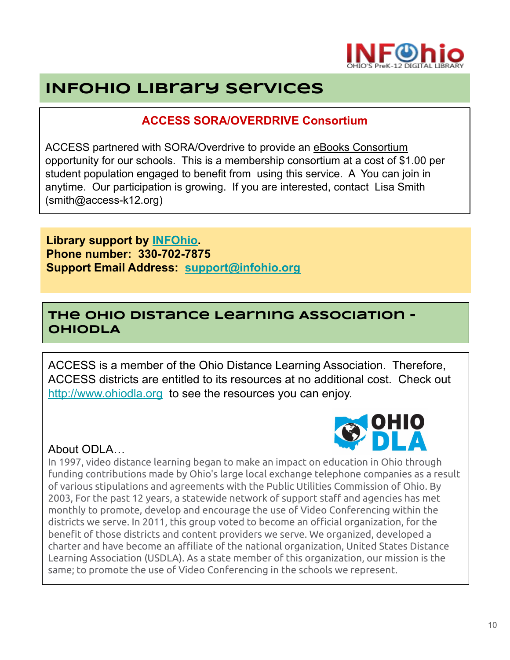

## **INFOhio Library Services**

## **ACCESS SORA/OVERDRIVE Consortium**

ACCESS partnered with SORA/Overdrive to provide an eBooks Consortium opportunity for our schools. This is a membership consortium at a cost of \$1.00 per student population engaged to benefit from using this service. A You can join in anytime. Our participation is growing. If you are interested, contact Lisa Smith (smith@access-k12.org)

### **Library support by [INFOhio](http://www.infohio.org). Phone number: 330-702-7875 Support Email Address: [support@infohio.org](mailto:support@infohio.org)**

## **The Ohio Distance Learning Association - OhioDLA**

ACCESS is a member of the Ohio Distance Learning Association. Therefore, ACCESS districts are entitled to its resources at no additional cost. Check out <http://www.ohiodla.org> to see the resources you can enjoy.

### About ODLA…



In 1997, video distance learning began to make an impact on education in Ohio through funding contributions made by Ohio's large local exchange telephone companies as a result of various stipulations and agreements with the Public Utilities Commission of Ohio. By 2003, For the past 12 years, a statewide network of support staff and agencies has met monthly to promote, develop and encourage the use of Video Conferencing within the districts we serve. In 2011, this group voted to become an official organization, for the benefit of those districts and content providers we serve. We organized, developed a charter and have become an affiliate of the national organization, United States Distance Learning Association (USDLA). As a state member of this organization, our mission is the same; to promote the use of Video Conferencing in the schools we represent.